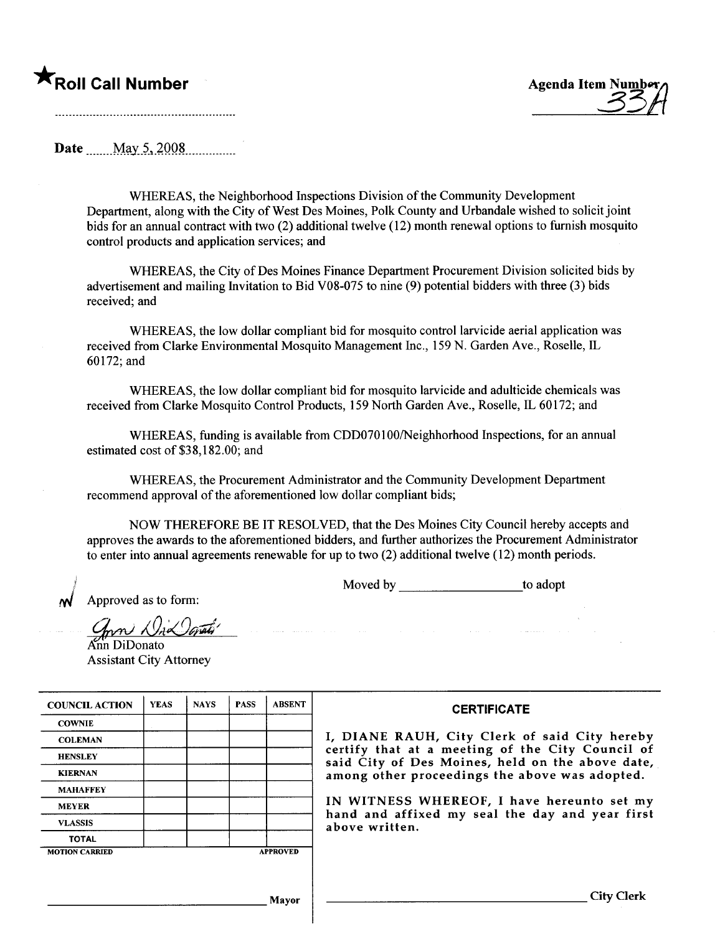## $\bigstar$ Roll Call Number  $\qquad$   $\qquad$   $\qquad$   $\qquad$   $\qquad$   $\qquad$   $\qquad$   $\qquad$   $\qquad$   $\qquad$   $\qquad$   $\qquad$   $\qquad$   $\qquad$   $\qquad$   $\qquad$   $\qquad$   $\qquad$   $\qquad$   $\qquad$   $\qquad$   $\qquad$   $\qquad$   $\qquad$   $\qquad$   $\qquad$   $\qquad$   $\qquad$   $\qquad$   $\qquad$   $\qquad$   $\qquad$   $\qquad$



Date May 5, 2008

WHREAS, the Neighborhood Inspections Division of the Community Development Department, along with the City of West Des Moines, Polk County and Urbandale wished to solicit joint bids for an annual contract with two (2) additional twelve (12) month renewal options to furnish mosquito control products and application services; and

WHEREAS, the City of Des Moines Finance Department Procurement Division solicited bids by advertisement and mailing Invitation to Bid V08-075 to nine (9) potential bidders with three (3) bids received; and

WHEREAS, the low dollar compliant bid for mosquito control larvicide aerial application was received from Clarke Environmental Mosquito Management Inc., 159 N. Garden Ave., Roselle, IL 60172; and

WHREAS, the low dollar compliant bid for mosquito larvicide and adulticide chemicals was received from Clarke Mosquito Control Products, 159 North Garden Ave., Roselle, IL 60172; and

WHEREAS, funding is available from CDD070100/Neighhorhood Inspections, for an annual estimated cost of \$38,182.00; and

WHREAS, the Procurement Administrator and the Community Development Department recommend approval of the aforementioned low dollar compliant bids;

 $\label{eq:3} \left\langle \left( \sin \theta \right) \right\rangle \left( \sin \theta \right) \left( \sin \theta \right) \left( \cos \theta \right) \left( \cos \theta \right) \left( \cos \theta \right) \left( \cos \theta \right)$ 

NOW THEREFORE BE IT RESOLVED, that the Des Moines City Council hereby accepts and approves the awards to the aforementioned bidders, and further authorizes the Procurement Administrator to enter into annual agreements renewable for up to two (2) additional twelve (12) month periods.

Moved by to adopt

Approved as to form:

¡/

 $\mathcal{D}$ øvæti'

Änn DiDonato Assistant City Attorney

| <b>COUNCIL ACTION</b> | <b>YEAS</b> | <b>NAYS</b> | <b>PASS</b> | <b>ABSENT</b>   | <b>CERTIFICATE</b>                                                                                   |
|-----------------------|-------------|-------------|-------------|-----------------|------------------------------------------------------------------------------------------------------|
| <b>COWNIE</b>         |             |             |             |                 |                                                                                                      |
| <b>COLEMAN</b>        |             |             |             |                 | I, DIANE RAUH, City Clerk of said City hereby                                                        |
| <b>HENSLEY</b>        |             |             |             |                 | certify that at a meeting of the City Council of<br>said City of Des Moines, held on the above date, |
| <b>KIERNAN</b>        |             |             |             |                 | among other proceedings the above was adopted.                                                       |
| <b>MAHAFFEY</b>       |             |             |             |                 |                                                                                                      |
| <b>MEYER</b>          |             |             |             |                 | IN WITNESS WHEREOF, I have hereunto set my                                                           |
| <b>VLASSIS</b>        |             |             |             |                 | hand and affixed my seal the day and year first<br>above written.                                    |
| <b>TOTAL</b>          |             |             |             |                 |                                                                                                      |
| <b>MOTION CARRIED</b> |             |             |             | <b>APPROVED</b> |                                                                                                      |
|                       |             |             |             |                 |                                                                                                      |
|                       |             |             |             |                 |                                                                                                      |
|                       |             |             |             | Mayor           | City Clerk                                                                                           |